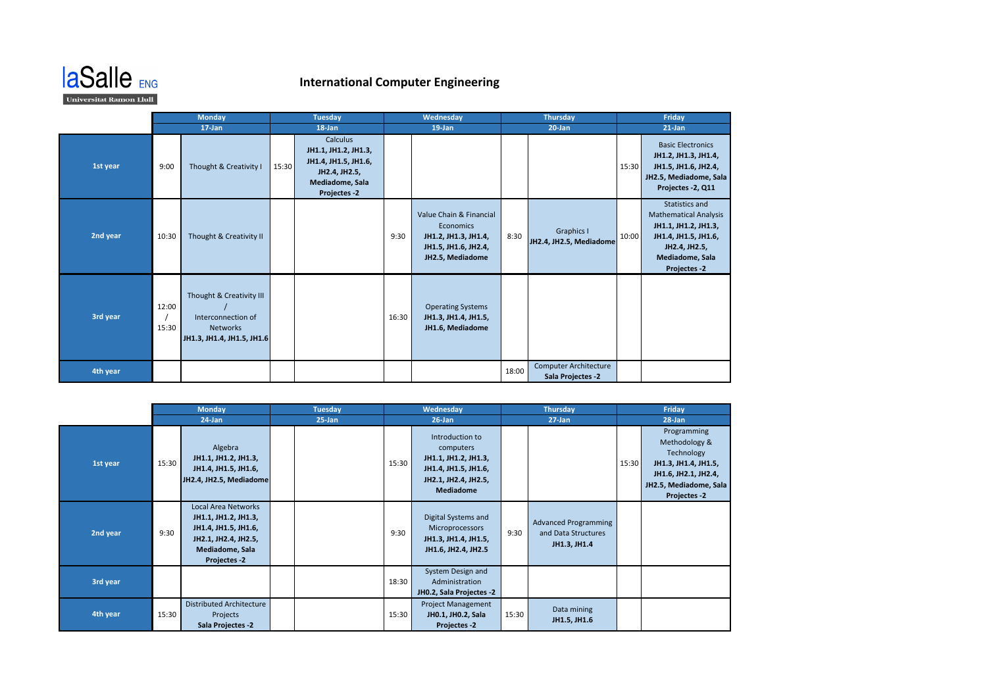

## **International Computer Engineering**

|          | <b>Monday</b>  |                                                                                                 | <b>Tuesday</b> |                                                                                                              | Wednesday |                                                                                                          | <b>Thursday</b> |                                                   | Friday |                                                                                                                                                    |  |
|----------|----------------|-------------------------------------------------------------------------------------------------|----------------|--------------------------------------------------------------------------------------------------------------|-----------|----------------------------------------------------------------------------------------------------------|-----------------|---------------------------------------------------|--------|----------------------------------------------------------------------------------------------------------------------------------------------------|--|
|          |                | $17$ -Jan                                                                                       | 18-Jan         |                                                                                                              |           | $19$ -Jan                                                                                                |                 | $20$ -Jan                                         |        | $21$ -Jan                                                                                                                                          |  |
| 1st year | 9:00           | Thought & Creativity I                                                                          | 15:30          | Calculus<br>JH1.1, JH1.2, JH1.3,<br>JH1.4, JH1.5, JH1.6,<br>JH2.4, JH2.5,<br>Mediadome, Sala<br>Projectes -2 |           |                                                                                                          |                 |                                                   | 15:30  | <b>Basic Electronics</b><br>JH1.2, JH1.3, JH1.4,<br>JH1.5, JH1.6, JH2.4,<br>JH2.5, Mediadome, Sala<br>Projectes -2, Q11                            |  |
| 2nd year | 10:30          | Thought & Creativity II                                                                         |                |                                                                                                              | 9:30      | Value Chain & Financial<br>Economics<br>JH1.2, JH1.3, JH1.4,<br>JH1.5, JH1.6, JH2.4,<br>JH2.5, Mediadome | 8:30            | Graphics I<br>JH2.4, JH2.5, Mediadome             | 10:00  | Statistics and<br><b>Mathematical Analysis</b><br>JH1.1, JH1.2, JH1.3,<br>JH1.4, JH1.5, JH1.6,<br>JH2.4, JH2.5,<br>Mediadome, Sala<br>Projectes -2 |  |
| 3rd year | 12:00<br>15:30 | Thought & Creativity III<br>Interconnection of<br><b>Networks</b><br>JH1.3, JH1.4, JH1.5, JH1.6 |                |                                                                                                              | 16:30     | <b>Operating Systems</b><br>JH1.3, JH1.4, JH1.5,<br>JH1.6, Mediadome                                     |                 |                                                   |        |                                                                                                                                                    |  |
| 4th year |                |                                                                                                 |                |                                                                                                              |           |                                                                                                          | 18:00           | <b>Computer Architecture</b><br>Sala Projectes -2 |        |                                                                                                                                                    |  |

|          | <b>Monday</b> |                                                                                                                                | <b>Tuesday</b> |  | Wednesday |                                                                                                                          | <b>Thursday</b> |                                                                    | Friday    |                                                                                                                                             |
|----------|---------------|--------------------------------------------------------------------------------------------------------------------------------|----------------|--|-----------|--------------------------------------------------------------------------------------------------------------------------|-----------------|--------------------------------------------------------------------|-----------|---------------------------------------------------------------------------------------------------------------------------------------------|
|          | 24-Jan        |                                                                                                                                | $25 - Jan$     |  | $26$ -Jan |                                                                                                                          | $27 - Jan$      |                                                                    | $28$ -Jan |                                                                                                                                             |
| 1st year | 15:30         | Algebra<br>JH1.1, JH1.2, JH1.3,<br>JH1.4, JH1.5, JH1.6,<br>JH2.4, JH2.5, Mediadome                                             |                |  | 15:30     | Introduction to<br>computers<br>JH1.1, JH1.2, JH1.3,<br>JH1.4, JH1.5, JH1.6,<br>JH2.1, JH2.4, JH2.5,<br><b>Mediadome</b> |                 |                                                                    | 15:30     | Programming<br>Methodology &<br>Technology<br>JH1.3, JH1.4, JH1.5,<br>JH1.6, JH2.1, JH2.4,<br>JH2.5, Mediadome, Sala<br><b>Projectes -2</b> |
| 2nd year | 9:30          | Local Area Networks<br>JH1.1, JH1.2, JH1.3,<br>JH1.4, JH1.5, JH1.6,<br>JH2.1, JH2.4, JH2.5,<br>Mediadome, Sala<br>Projectes -2 |                |  | 9:30      | Digital Systems and<br>Microprocessors<br>JH1.3, JH1.4, JH1.5,<br>JH1.6, JH2.4, JH2.5                                    | 9:30            | <b>Advanced Programming</b><br>and Data Structures<br>JH1.3, JH1.4 |           |                                                                                                                                             |
| 3rd year |               |                                                                                                                                |                |  | 18:30     | System Design and<br>Administration<br>JH0.2, Sala Projectes -2                                                          |                 |                                                                    |           |                                                                                                                                             |
| 4th year | 15:30         | <b>Distributed Architecture</b><br>Projects<br>Sala Projectes -2                                                               |                |  | 15:30     | <b>Project Management</b><br>JH0.1, JH0.2, Sala<br><b>Projectes -2</b>                                                   | 15:30           | Data mining<br>JH1.5, JH1.6                                        |           |                                                                                                                                             |